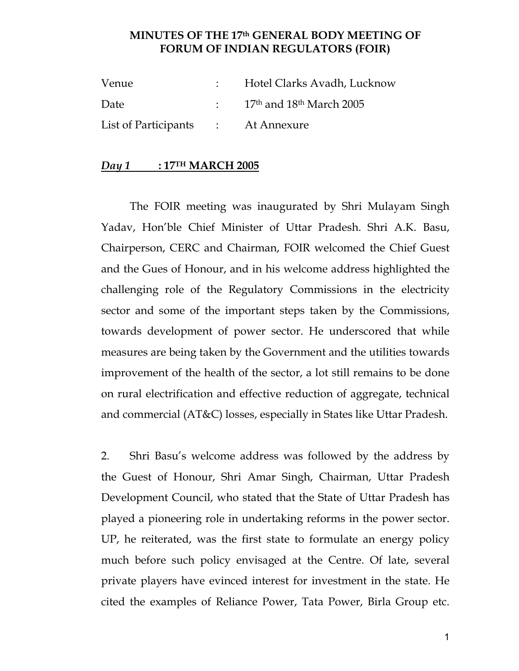### **MINUTES OF THE 17th GENERAL BODY MEETING OF FORUM OF INDIAN REGULATORS (FOIR)**

| Venue                              | Hotel Clarks Avadh, Lucknow                            |
|------------------------------------|--------------------------------------------------------|
| Date                               | $\frac{17}{\text{th}}$ and $18^{\text{th}}$ March 2005 |
| List of Participants : At Annexure |                                                        |

#### *Day 1* **: 17TH MARCH 2005**

The FOIR meeting was inaugurated by Shri Mulayam Singh Yadav, Hon'ble Chief Minister of Uttar Pradesh. Shri A.K. Basu, Chairperson, CERC and Chairman, FOIR welcomed the Chief Guest and the Gues of Honour, and in his welcome address highlighted the challenging role of the Regulatory Commissions in the electricity sector and some of the important steps taken by the Commissions, towards development of power sector. He underscored that while measures are being taken by the Government and the utilities towards improvement of the health of the sector, a lot still remains to be done on rural electrification and effective reduction of aggregate, technical and commercial (AT&C) losses, especially in States like Uttar Pradesh.

2. Shri Basu's welcome address was followed by the address by the Guest of Honour, Shri Amar Singh, Chairman, Uttar Pradesh Development Council, who stated that the State of Uttar Pradesh has played a pioneering role in undertaking reforms in the power sector. UP, he reiterated, was the first state to formulate an energy policy much before such policy envisaged at the Centre. Of late, several private players have evinced interest for investment in the state. He cited the examples of Reliance Power, Tata Power, Birla Group etc.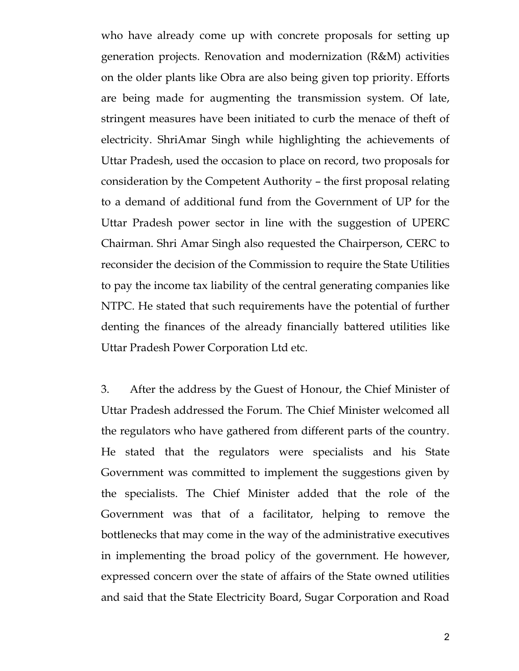who have already come up with concrete proposals for setting up generation projects. Renovation and modernization (R&M) activities on the older plants like Obra are also being given top priority. Efforts are being made for augmenting the transmission system. Of late, stringent measures have been initiated to curb the menace of theft of electricity. ShriAmar Singh while highlighting the achievements of Uttar Pradesh, used the occasion to place on record, two proposals for consideration by the Competent Authority – the first proposal relating to a demand of additional fund from the Government of UP for the Uttar Pradesh power sector in line with the suggestion of UPERC Chairman. Shri Amar Singh also requested the Chairperson, CERC to reconsider the decision of the Commission to require the State Utilities to pay the income tax liability of the central generating companies like NTPC. He stated that such requirements have the potential of further denting the finances of the already financially battered utilities like Uttar Pradesh Power Corporation Ltd etc.

3. After the address by the Guest of Honour, the Chief Minister of Uttar Pradesh addressed the Forum. The Chief Minister welcomed all the regulators who have gathered from different parts of the country. He stated that the regulators were specialists and his State Government was committed to implement the suggestions given by the specialists. The Chief Minister added that the role of the Government was that of a facilitator, helping to remove the bottlenecks that may come in the way of the administrative executives in implementing the broad policy of the government. He however, expressed concern over the state of affairs of the State owned utilities and said that the State Electricity Board, Sugar Corporation and Road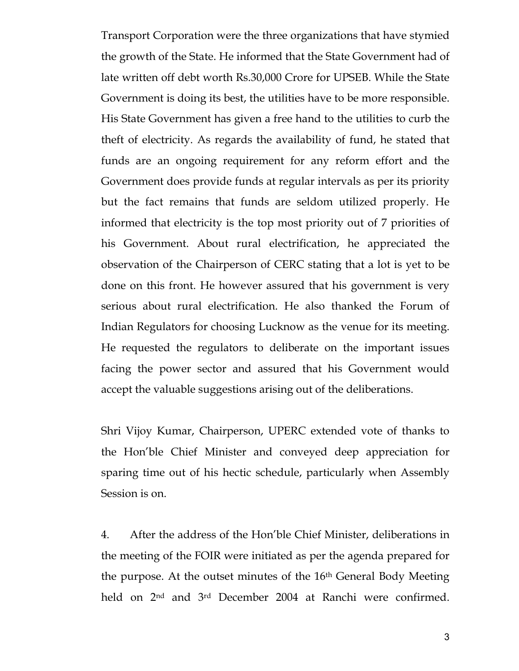Transport Corporation were the three organizations that have stymied the growth of the State. He informed that the State Government had of late written off debt worth Rs.30,000 Crore for UPSEB. While the State Government is doing its best, the utilities have to be more responsible. His State Government has given a free hand to the utilities to curb the theft of electricity. As regards the availability of fund, he stated that funds are an ongoing requirement for any reform effort and the Government does provide funds at regular intervals as per its priority but the fact remains that funds are seldom utilized properly. He informed that electricity is the top most priority out of 7 priorities of his Government. About rural electrification, he appreciated the observation of the Chairperson of CERC stating that a lot is yet to be done on this front. He however assured that his government is very serious about rural electrification. He also thanked the Forum of Indian Regulators for choosing Lucknow as the venue for its meeting. He requested the regulators to deliberate on the important issues facing the power sector and assured that his Government would accept the valuable suggestions arising out of the deliberations.

Shri Vijoy Kumar, Chairperson, UPERC extended vote of thanks to the Hon'ble Chief Minister and conveyed deep appreciation for sparing time out of his hectic schedule, particularly when Assembly Session is on.

4. After the address of the Hon'ble Chief Minister, deliberations in the meeting of the FOIR were initiated as per the agenda prepared for the purpose. At the outset minutes of the 16th General Body Meeting held on 2nd and 3rd December 2004 at Ranchi were confirmed.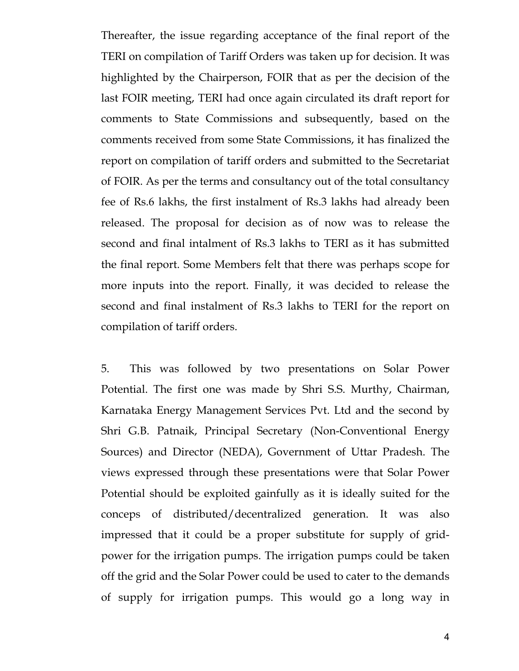Thereafter, the issue regarding acceptance of the final report of the TERI on compilation of Tariff Orders was taken up for decision. It was highlighted by the Chairperson, FOIR that as per the decision of the last FOIR meeting, TERI had once again circulated its draft report for comments to State Commissions and subsequently, based on the comments received from some State Commissions, it has finalized the report on compilation of tariff orders and submitted to the Secretariat of FOIR. As per the terms and consultancy out of the total consultancy fee of Rs.6 lakhs, the first instalment of Rs.3 lakhs had already been released. The proposal for decision as of now was to release the second and final intalment of Rs.3 lakhs to TERI as it has submitted the final report. Some Members felt that there was perhaps scope for more inputs into the report. Finally, it was decided to release the second and final instalment of Rs.3 lakhs to TERI for the report on compilation of tariff orders.

5. This was followed by two presentations on Solar Power Potential. The first one was made by Shri S.S. Murthy, Chairman, Karnataka Energy Management Services Pvt. Ltd and the second by Shri G.B. Patnaik, Principal Secretary (Non-Conventional Energy Sources) and Director (NEDA), Government of Uttar Pradesh. The views expressed through these presentations were that Solar Power Potential should be exploited gainfully as it is ideally suited for the conceps of distributed/decentralized generation. It was also impressed that it could be a proper substitute for supply of gridpower for the irrigation pumps. The irrigation pumps could be taken off the grid and the Solar Power could be used to cater to the demands of supply for irrigation pumps. This would go a long way in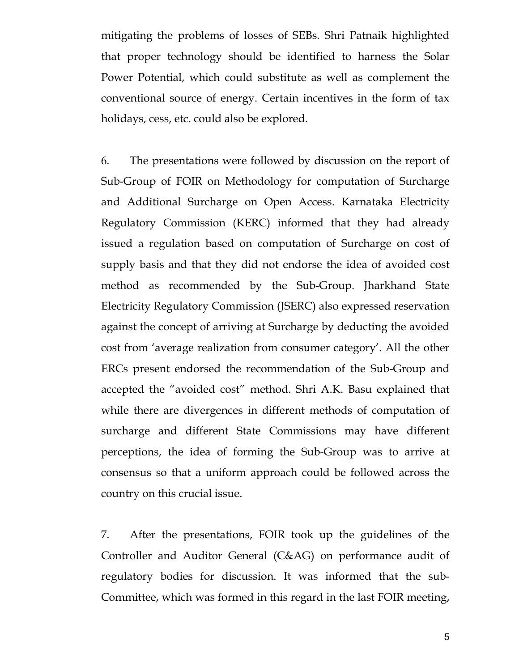mitigating the problems of losses of SEBs. Shri Patnaik highlighted that proper technology should be identified to harness the Solar Power Potential, which could substitute as well as complement the conventional source of energy. Certain incentives in the form of tax holidays, cess, etc. could also be explored.

6. The presentations were followed by discussion on the report of Sub-Group of FOIR on Methodology for computation of Surcharge and Additional Surcharge on Open Access. Karnataka Electricity Regulatory Commission (KERC) informed that they had already issued a regulation based on computation of Surcharge on cost of supply basis and that they did not endorse the idea of avoided cost method as recommended by the Sub-Group. Jharkhand State Electricity Regulatory Commission (JSERC) also expressed reservation against the concept of arriving at Surcharge by deducting the avoided cost from 'average realization from consumer category'. All the other ERCs present endorsed the recommendation of the Sub-Group and accepted the "avoided cost" method. Shri A.K. Basu explained that while there are divergences in different methods of computation of surcharge and different State Commissions may have different perceptions, the idea of forming the Sub-Group was to arrive at consensus so that a uniform approach could be followed across the country on this crucial issue.

7. After the presentations, FOIR took up the guidelines of the Controller and Auditor General (C&AG) on performance audit of regulatory bodies for discussion. It was informed that the sub-Committee, which was formed in this regard in the last FOIR meeting,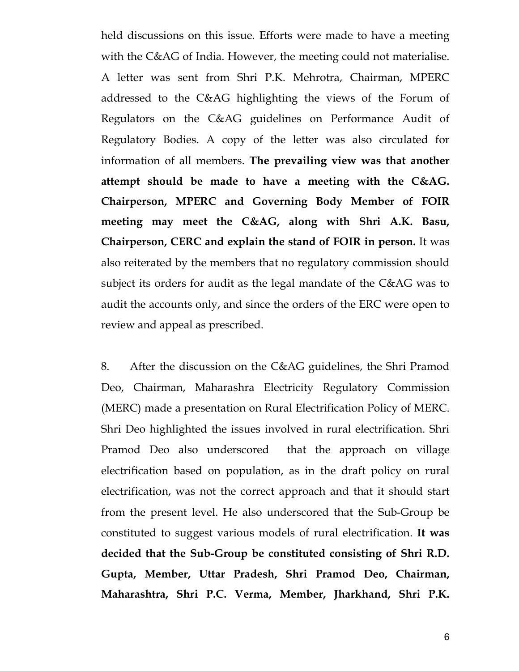held discussions on this issue. Efforts were made to have a meeting with the C&AG of India. However, the meeting could not materialise. A letter was sent from Shri P.K. Mehrotra, Chairman, MPERC addressed to the C&AG highlighting the views of the Forum of Regulators on the C&AG guidelines on Performance Audit of Regulatory Bodies. A copy of the letter was also circulated for information of all members. **The prevailing view was that another attempt should be made to have a meeting with the C&AG. Chairperson, MPERC and Governing Body Member of FOIR meeting may meet the C&AG, along with Shri A.K. Basu, Chairperson, CERC and explain the stand of FOIR in person.** It was also reiterated by the members that no regulatory commission should subject its orders for audit as the legal mandate of the C&AG was to audit the accounts only, and since the orders of the ERC were open to review and appeal as prescribed.

8. After the discussion on the C&AG guidelines, the Shri Pramod Deo, Chairman, Maharashra Electricity Regulatory Commission (MERC) made a presentation on Rural Electrification Policy of MERC. Shri Deo highlighted the issues involved in rural electrification. Shri Pramod Deo also underscored that the approach on village electrification based on population, as in the draft policy on rural electrification, was not the correct approach and that it should start from the present level. He also underscored that the Sub-Group be constituted to suggest various models of rural electrification. **It was decided that the Sub-Group be constituted consisting of Shri R.D. Gupta, Member, Uttar Pradesh, Shri Pramod Deo, Chairman, Maharashtra, Shri P.C. Verma, Member, Jharkhand, Shri P.K.**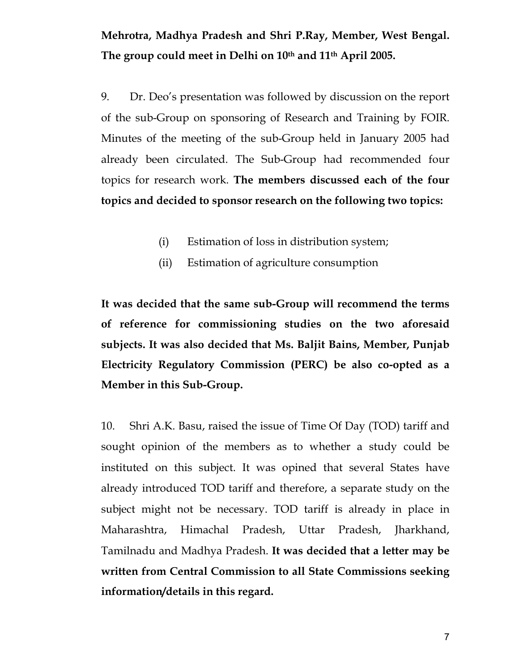**Mehrotra, Madhya Pradesh and Shri P.Ray, Member, West Bengal. The group could meet in Delhi on 10th and 11th April 2005.**

9. Dr. Deo's presentation was followed by discussion on the report of the sub-Group on sponsoring of Research and Training by FOIR. Minutes of the meeting of the sub-Group held in January 2005 had already been circulated. The Sub-Group had recommended four topics for research work. **The members discussed each of the four topics and decided to sponsor research on the following two topics:**

- (i) Estimation of loss in distribution system;
- (ii) Estimation of agriculture consumption

**It was decided that the same sub-Group will recommend the terms of reference for commissioning studies on the two aforesaid subjects. It was also decided that Ms. Baljit Bains, Member, Punjab Electricity Regulatory Commission (PERC) be also co-opted as a Member in this Sub-Group.** 

10. Shri A.K. Basu, raised the issue of Time Of Day (TOD) tariff and sought opinion of the members as to whether a study could be instituted on this subject. It was opined that several States have already introduced TOD tariff and therefore, a separate study on the subject might not be necessary. TOD tariff is already in place in Maharashtra, Himachal Pradesh, Uttar Pradesh, Jharkhand, Tamilnadu and Madhya Pradesh. **It was decided that a letter may be written from Central Commission to all State Commissions seeking information/details in this regard.**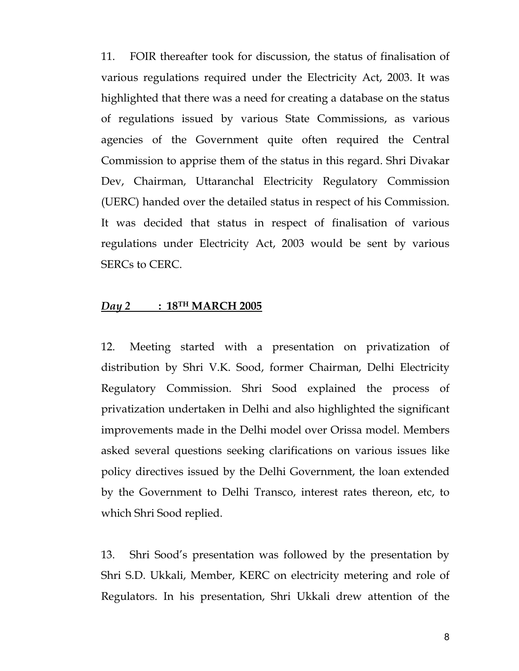11. FOIR thereafter took for discussion, the status of finalisation of various regulations required under the Electricity Act, 2003. It was highlighted that there was a need for creating a database on the status of regulations issued by various State Commissions, as various agencies of the Government quite often required the Central Commission to apprise them of the status in this regard. Shri Divakar Dev, Chairman, Uttaranchal Electricity Regulatory Commission (UERC) handed over the detailed status in respect of his Commission. It was decided that status in respect of finalisation of various regulations under Electricity Act, 2003 would be sent by various SERCs to CERC.

## *Day 2* **: 18TH MARCH 2005**

12. Meeting started with a presentation on privatization of distribution by Shri V.K. Sood, former Chairman, Delhi Electricity Regulatory Commission. Shri Sood explained the process of privatization undertaken in Delhi and also highlighted the significant improvements made in the Delhi model over Orissa model. Members asked several questions seeking clarifications on various issues like policy directives issued by the Delhi Government, the loan extended by the Government to Delhi Transco, interest rates thereon, etc, to which Shri Sood replied.

13. Shri Sood's presentation was followed by the presentation by Shri S.D. Ukkali, Member, KERC on electricity metering and role of Regulators. In his presentation, Shri Ukkali drew attention of the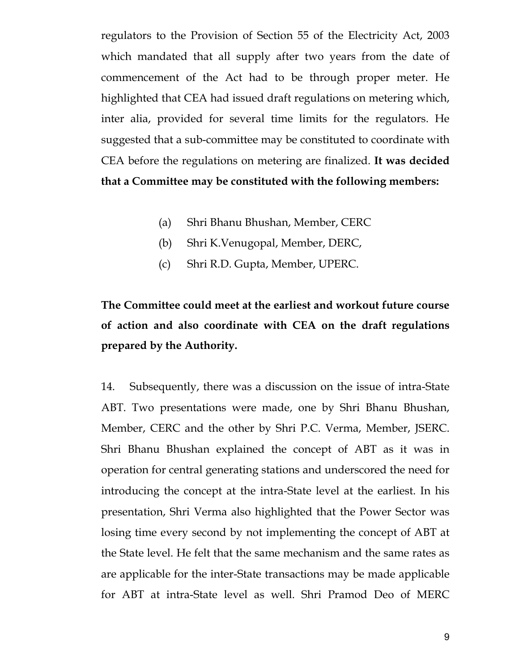regulators to the Provision of Section 55 of the Electricity Act, 2003 which mandated that all supply after two years from the date of commencement of the Act had to be through proper meter. He highlighted that CEA had issued draft regulations on metering which, inter alia, provided for several time limits for the regulators. He suggested that a sub-committee may be constituted to coordinate with CEA before the regulations on metering are finalized. **It was decided that a Committee may be constituted with the following members:**

- (a) Shri Bhanu Bhushan, Member, CERC
- (b) Shri K.Venugopal, Member, DERC,
- (c) Shri R.D. Gupta, Member, UPERC.

# **The Committee could meet at the earliest and workout future course of action and also coordinate with CEA on the draft regulations prepared by the Authority.**

14. Subsequently, there was a discussion on the issue of intra-State ABT. Two presentations were made, one by Shri Bhanu Bhushan, Member, CERC and the other by Shri P.C. Verma, Member, JSERC. Shri Bhanu Bhushan explained the concept of ABT as it was in operation for central generating stations and underscored the need for introducing the concept at the intra-State level at the earliest. In his presentation, Shri Verma also highlighted that the Power Sector was losing time every second by not implementing the concept of ABT at the State level. He felt that the same mechanism and the same rates as are applicable for the inter-State transactions may be made applicable for ABT at intra-State level as well. Shri Pramod Deo of MERC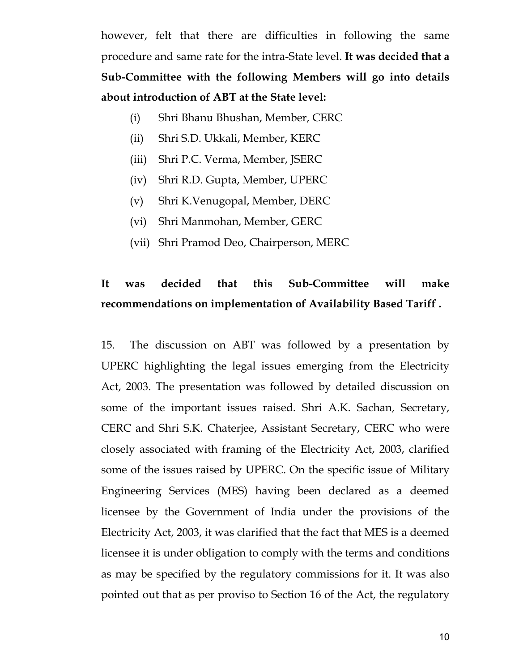however, felt that there are difficulties in following the same procedure and same rate for the intra-State level. **It was decided that a Sub-Committee with the following Members will go into details about introduction of ABT at the State level:**

- (i) Shri Bhanu Bhushan, Member, CERC
- (ii) Shri S.D. Ukkali, Member, KERC
- (iii) Shri P.C. Verma, Member, JSERC
- (iv) Shri R.D. Gupta, Member, UPERC
- (v) Shri K.Venugopal, Member, DERC
- (vi) Shri Manmohan, Member, GERC
- (vii) Shri Pramod Deo, Chairperson, MERC

# **It was decided that this Sub-Committee will make recommendations on implementation of Availability Based Tariff .**

15. The discussion on ABT was followed by a presentation by UPERC highlighting the legal issues emerging from the Electricity Act, 2003. The presentation was followed by detailed discussion on some of the important issues raised. Shri A.K. Sachan, Secretary, CERC and Shri S.K. Chaterjee, Assistant Secretary, CERC who were closely associated with framing of the Electricity Act, 2003, clarified some of the issues raised by UPERC. On the specific issue of Military Engineering Services (MES) having been declared as a deemed licensee by the Government of India under the provisions of the Electricity Act, 2003, it was clarified that the fact that MES is a deemed licensee it is under obligation to comply with the terms and conditions as may be specified by the regulatory commissions for it. It was also pointed out that as per proviso to Section 16 of the Act, the regulatory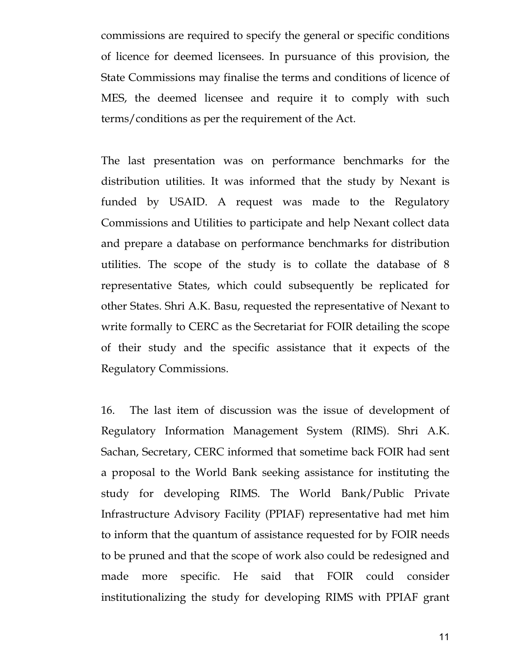commissions are required to specify the general or specific conditions of licence for deemed licensees. In pursuance of this provision, the State Commissions may finalise the terms and conditions of licence of MES, the deemed licensee and require it to comply with such terms/conditions as per the requirement of the Act.

The last presentation was on performance benchmarks for the distribution utilities. It was informed that the study by Nexant is funded by USAID. A request was made to the Regulatory Commissions and Utilities to participate and help Nexant collect data and prepare a database on performance benchmarks for distribution utilities. The scope of the study is to collate the database of 8 representative States, which could subsequently be replicated for other States. Shri A.K. Basu, requested the representative of Nexant to write formally to CERC as the Secretariat for FOIR detailing the scope of their study and the specific assistance that it expects of the Regulatory Commissions.

16. The last item of discussion was the issue of development of Regulatory Information Management System (RIMS). Shri A.K. Sachan, Secretary, CERC informed that sometime back FOIR had sent a proposal to the World Bank seeking assistance for instituting the study for developing RIMS. The World Bank/Public Private Infrastructure Advisory Facility (PPIAF) representative had met him to inform that the quantum of assistance requested for by FOIR needs to be pruned and that the scope of work also could be redesigned and made more specific. He said that FOIR could consider institutionalizing the study for developing RIMS with PPIAF grant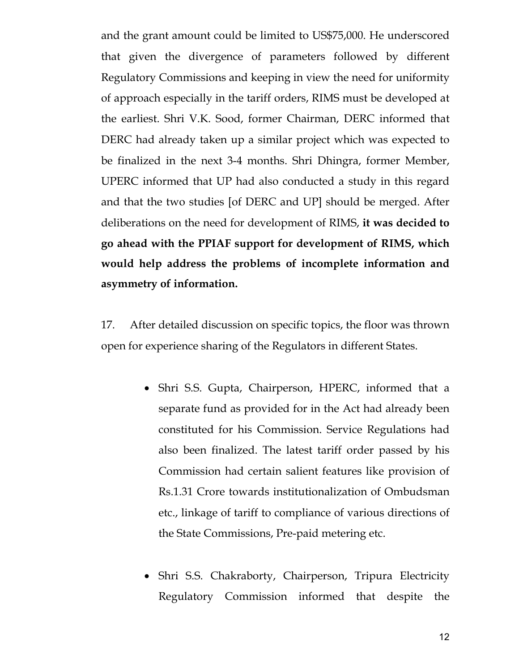and the grant amount could be limited to US\$75,000. He underscored that given the divergence of parameters followed by different Regulatory Commissions and keeping in view the need for uniformity of approach especially in the tariff orders, RIMS must be developed at the earliest. Shri V.K. Sood, former Chairman, DERC informed that DERC had already taken up a similar project which was expected to be finalized in the next 3-4 months. Shri Dhingra, former Member, UPERC informed that UP had also conducted a study in this regard and that the two studies [of DERC and UP] should be merged. After deliberations on the need for development of RIMS, **it was decided to go ahead with the PPIAF support for development of RIMS, which would help address the problems of incomplete information and asymmetry of information.** 

17. After detailed discussion on specific topics, the floor was thrown open for experience sharing of the Regulators in different States.

- Shri S.S. Gupta, Chairperson, HPERC, informed that a separate fund as provided for in the Act had already been constituted for his Commission. Service Regulations had also been finalized. The latest tariff order passed by his Commission had certain salient features like provision of Rs.1.31 Crore towards institutionalization of Ombudsman etc., linkage of tariff to compliance of various directions of the State Commissions, Pre-paid metering etc.
- Shri S.S. Chakraborty, Chairperson, Tripura Electricity Regulatory Commission informed that despite the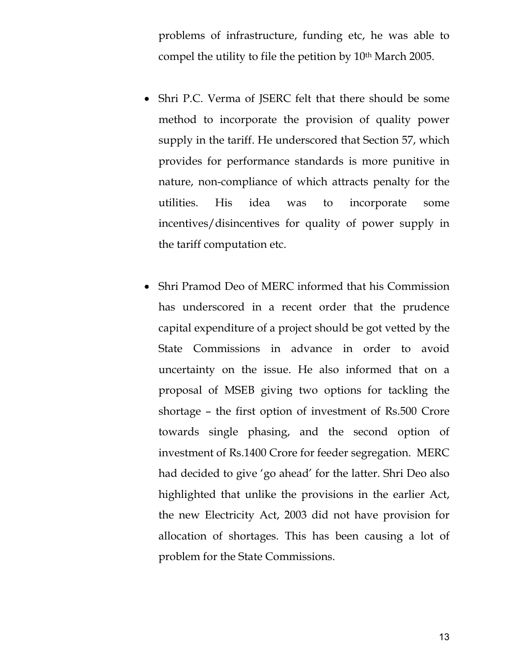problems of infrastructure, funding etc, he was able to compel the utility to file the petition by 10th March 2005.

- Shri P.C. Verma of JSERC felt that there should be some method to incorporate the provision of quality power supply in the tariff. He underscored that Section 57, which provides for performance standards is more punitive in nature, non-compliance of which attracts penalty for the utilities. His idea was to incorporate some incentives/disincentives for quality of power supply in the tariff computation etc.
- Shri Pramod Deo of MERC informed that his Commission has underscored in a recent order that the prudence capital expenditure of a project should be got vetted by the State Commissions in advance in order to avoid uncertainty on the issue. He also informed that on a proposal of MSEB giving two options for tackling the shortage – the first option of investment of Rs.500 Crore towards single phasing, and the second option of investment of Rs.1400 Crore for feeder segregation. MERC had decided to give 'go ahead' for the latter. Shri Deo also highlighted that unlike the provisions in the earlier Act, the new Electricity Act, 2003 did not have provision for allocation of shortages. This has been causing a lot of problem for the State Commissions.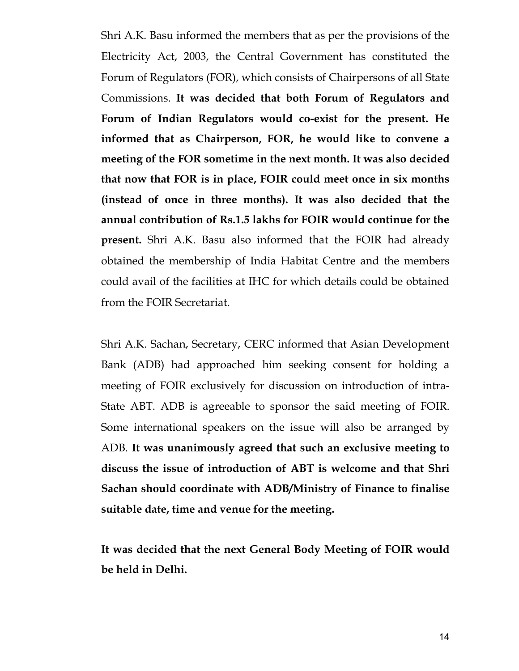Shri A.K. Basu informed the members that as per the provisions of the Electricity Act, 2003, the Central Government has constituted the Forum of Regulators (FOR), which consists of Chairpersons of all State Commissions. **It was decided that both Forum of Regulators and Forum of Indian Regulators would co-exist for the present. He informed that as Chairperson, FOR, he would like to convene a meeting of the FOR sometime in the next month. It was also decided that now that FOR is in place, FOIR could meet once in six months (instead of once in three months). It was also decided that the annual contribution of Rs.1.5 lakhs for FOIR would continue for the present.** Shri A.K. Basu also informed that the FOIR had already obtained the membership of India Habitat Centre and the members could avail of the facilities at IHC for which details could be obtained from the FOIR Secretariat.

Shri A.K. Sachan, Secretary, CERC informed that Asian Development Bank (ADB) had approached him seeking consent for holding a meeting of FOIR exclusively for discussion on introduction of intra-State ABT. ADB is agreeable to sponsor the said meeting of FOIR. Some international speakers on the issue will also be arranged by ADB. **It was unanimously agreed that such an exclusive meeting to discuss the issue of introduction of ABT is welcome and that Shri Sachan should coordinate with ADB/Ministry of Finance to finalise suitable date, time and venue for the meeting.** 

**It was decided that the next General Body Meeting of FOIR would be held in Delhi.**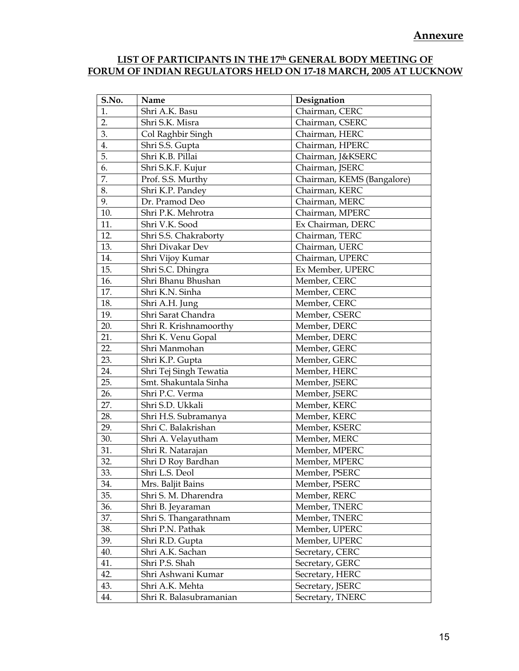### **LIST OF PARTICIPANTS IN THE 17th GENERAL BODY MEETING OF FORUM OF INDIAN REGULATORS HELD ON 17-18 MARCH, 2005 AT LUCKNOW**

| S.No. | Name                    | Designation                |
|-------|-------------------------|----------------------------|
| 1.    | Shri A.K. Basu          | Chairman, CERC             |
| 2.    | Shri S.K. Misra         | Chairman, CSERC            |
| 3.    | Col Raghbir Singh       | Chairman, HERC             |
| 4.    | Shri S.S. Gupta         | Chairman, HPERC            |
| 5.    | Shri K.B. Pillai        | Chairman, J&KSERC          |
| 6.    | Shri S.K.F. Kujur       | Chairman, JSERC            |
| 7.    | Prof. S.S. Murthy       | Chairman, KEMS (Bangalore) |
| 8.    | Shri K.P. Pandey        | Chairman, KERC             |
| 9.    | Dr. Pramod Deo          | Chairman, MERC             |
| 10.   | Shri P.K. Mehrotra      | Chairman, MPERC            |
| 11.   | Shri V.K. Sood          | Ex Chairman, DERC          |
| 12.   | Shri S.S. Chakraborty   | Chairman, TERC             |
| 13.   | Shri Divakar Dev        | Chairman, UERC             |
| 14.   | Shri Vijoy Kumar        | Chairman, UPERC            |
| 15.   | Shri S.C. Dhingra       | Ex Member, UPERC           |
| 16.   | Shri Bhanu Bhushan      | Member, CERC               |
| 17.   | Shri K.N. Sinha         | Member, CERC               |
| 18.   | Shri A.H. Jung          | Member, CERC               |
| 19.   | Shri Sarat Chandra      | Member, CSERC              |
| 20.   | Shri R. Krishnamoorthy  | Member, DERC               |
| 21.   | Shri K. Venu Gopal      | Member, DERC               |
| 22.   | Shri Manmohan           | Member, GERC               |
| 23.   | Shri K.P. Gupta         | Member, GERC               |
| 24.   | Shri Tej Singh Tewatia  | Member, HERC               |
| 25.   | Smt. Shakuntala Sinha   | Member, JSERC              |
| 26.   | Shri P.C. Verma         | Member, JSERC              |
| 27.   | Shri S.D. Ukkali        | Member, KERC               |
| 28.   | Shri H.S. Subramanya    | Member, KERC               |
| 29.   | Shri C. Balakrishan     | Member, KSERC              |
| 30.   | Shri A. Velayutham      | Member, MERC               |
| 31.   | Shri R. Natarajan       | Member, MPERC              |
| 32.   | Shri D Roy Bardhan      | Member, MPERC              |
| 33.   | Shri L.S. Deol          | Member, PSERC              |
| 34.   | Mrs. Baljit Bains       | Member, PSERC              |
| 35.   | Shri S. M. Dharendra    | Member, RERC               |
| 36.   | Shri B. Jeyaraman       | Member, TNERC              |
| 37.   | Shri S. Thangarathnam   | Member, TNERC              |
| 38.   | Shri P.N. Pathak        | Member, UPERC              |
| 39.   | Shri R.D. Gupta         | Member, UPERC              |
| 40.   | Shri A.K. Sachan        | Secretary, CERC            |
| 41.   | Shri P.S. Shah          | Secretary, GERC            |
| 42.   | Shri Ashwani Kumar      | Secretary, HERC            |
| 43.   | Shri A.K. Mehta         | Secretary, JSERC           |
| 44.   | Shri R. Balasubramanian | Secretary, TNERC           |